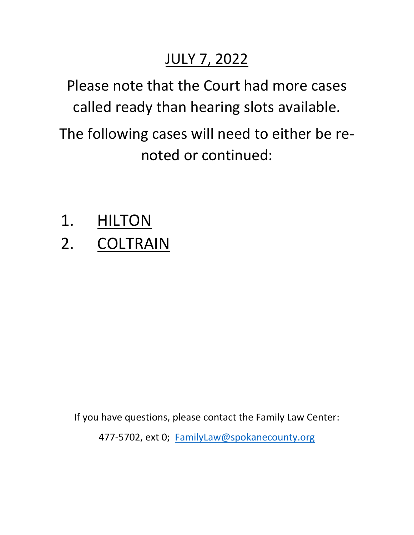## JULY 7, 2022

Please note that the Court had more cases called ready than hearing slots available.

The following cases will need to either be renoted or continued:

- 1. HILTON
- 2. COLTRAIN

If you have questions, please contact the Family Law Center:

477-5702, ext 0; [FamilyLaw@spokanecounty.org](mailto:FamilyLaw@spokanecounty.org)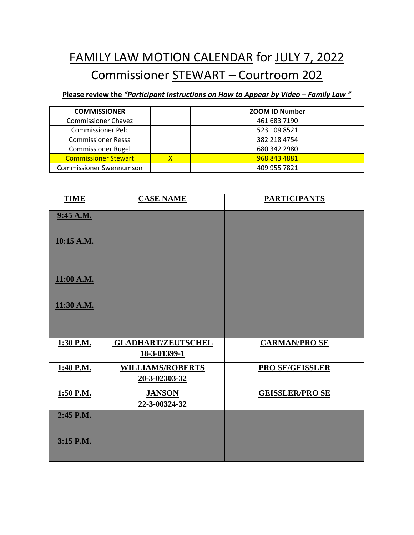## FAMILY LAW MOTION CALENDAR for JULY 7, 2022 Commissioner STEWART – Courtroom 202

**Please review the** *"Participant Instructions on How to Appear by Video – Family Law "*

| <b>COMMISSIONER</b>            |   | <b>ZOOM ID Number</b> |
|--------------------------------|---|-----------------------|
| <b>Commissioner Chavez</b>     |   | 461 683 7190          |
| <b>Commissioner Pelc</b>       |   | 523 109 8521          |
| <b>Commissioner Ressa</b>      |   | 382 218 4754          |
| <b>Commissioner Rugel</b>      |   | 680 342 2980          |
| <b>Commissioner Stewart</b>    | x | 968 843 4881          |
| <b>Commissioner Swennumson</b> |   | 409 955 7821          |

| <b>TIME</b> | <b>CASE NAME</b>                          | <b>PARTICIPANTS</b>    |
|-------------|-------------------------------------------|------------------------|
| 9:45 A.M.   |                                           |                        |
| 10:15 A.M.  |                                           |                        |
|             |                                           |                        |
| 11:00 A.M.  |                                           |                        |
| 11:30 A.M.  |                                           |                        |
|             |                                           |                        |
| 1:30 P.M.   | <b>GLADHART/ZEUTSCHEL</b><br>18-3-01399-1 | <b>CARMAN/PRO SE</b>   |
| 1:40 P.M.   | <b>WILLIAMS/ROBERTS</b><br>20-3-02303-32  | <b>PRO SE/GEISSLER</b> |
| 1:50 P.M.   | <b>JANSON</b><br>22-3-00324-32            | <b>GEISSLER/PROSE</b>  |
| 2:45 P.M.   |                                           |                        |
| 3:15 P.M.   |                                           |                        |